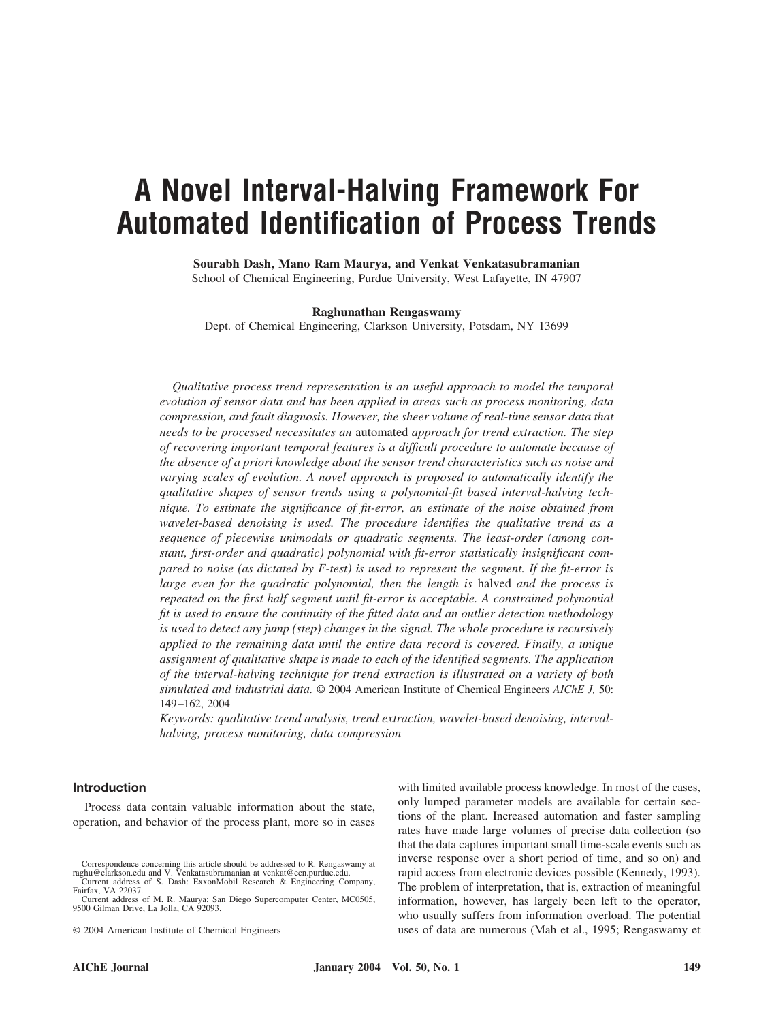# **A Novel Interval-Halving Framework For Automated Identification of Process Trends**

**Sourabh Dash, Mano Ram Maurya, and Venkat Venkatasubramanian** School of Chemical Engineering, Purdue University, West Lafayette, IN 47907

# **Raghunathan Rengaswamy**

Dept. of Chemical Engineering, Clarkson University, Potsdam, NY 13699

*Qualitative process trend representation is an useful approach to model the temporal evolution of sensor data and has been applied in areas such as process monitoring, data compression, and fault diagnosis. However, the sheer volume of real-time sensor data that needs to be processed necessitates an* automated *approach for trend extraction. The step of recovering important temporal features is a difficult procedure to automate because of the absence of a priori knowledge about the sensor trend characteristics such as noise and varying scales of evolution. A novel approach is proposed to automatically identify the qualitative shapes of sensor trends using a polynomial-fit based interval-halving technique. To estimate the significance of fit-error, an estimate of the noise obtained from wavelet-based denoising is used. The procedure identifies the qualitative trend as a sequence of piecewise unimodals or quadratic segments. The least-order (among constant, first-order and quadratic) polynomial with fit-error statistically insignificant compared to noise (as dictated by F-test) is used to represent the segment. If the fit-error is large even for the quadratic polynomial, then the length is* halved *and the process is repeated on the first half segment until fit-error is acceptable. A constrained polynomial fit is used to ensure the continuity of the fitted data and an outlier detection methodology is used to detect any jump (step) changes in the signal. The whole procedure is recursively applied to the remaining data until the entire data record is covered. Finally, a unique assignment of qualitative shape is made to each of the identified segments. The application of the interval-halving technique for trend extraction is illustrated on a variety of both simulated and industrial data.* © 2004 American Institute of Chemical Engineers *AIChE J,* 50: 149 –162, 2004

*Keywords: qualitative trend analysis, trend extraction, wavelet-based denoising, intervalhalving, process monitoring, data compression*

# **Introduction**

Process data contain valuable information about the state, operation, and behavior of the process plant, more so in cases

with limited available process knowledge. In most of the cases, only lumped parameter models are available for certain sections of the plant. Increased automation and faster sampling rates have made large volumes of precise data collection (so that the data captures important small time-scale events such as inverse response over a short period of time, and so on) and rapid access from electronic devices possible (Kennedy, 1993). The problem of interpretation, that is, extraction of meaningful information, however, has largely been left to the operator, who usually suffers from information overload. The potential uses of data are numerous (Mah et al., 1995; Rengaswamy et

Correspondence concerning this article should be addressed to R. Rengaswamy at raghu@clarkson.edu and V. Venkatasubramanian at venkat@ecn.purdue.edu. Current address of S. Dash: ExxonMobil Research & Engineering Company,

Fairfax, VA 22037. Current address of M. R. Maurya: San Diego Supercomputer Center, MC0505, 9500 Gilman Drive, La Jolla, CA 92093.

<sup>© 2004</sup> American Institute of Chemical Engineers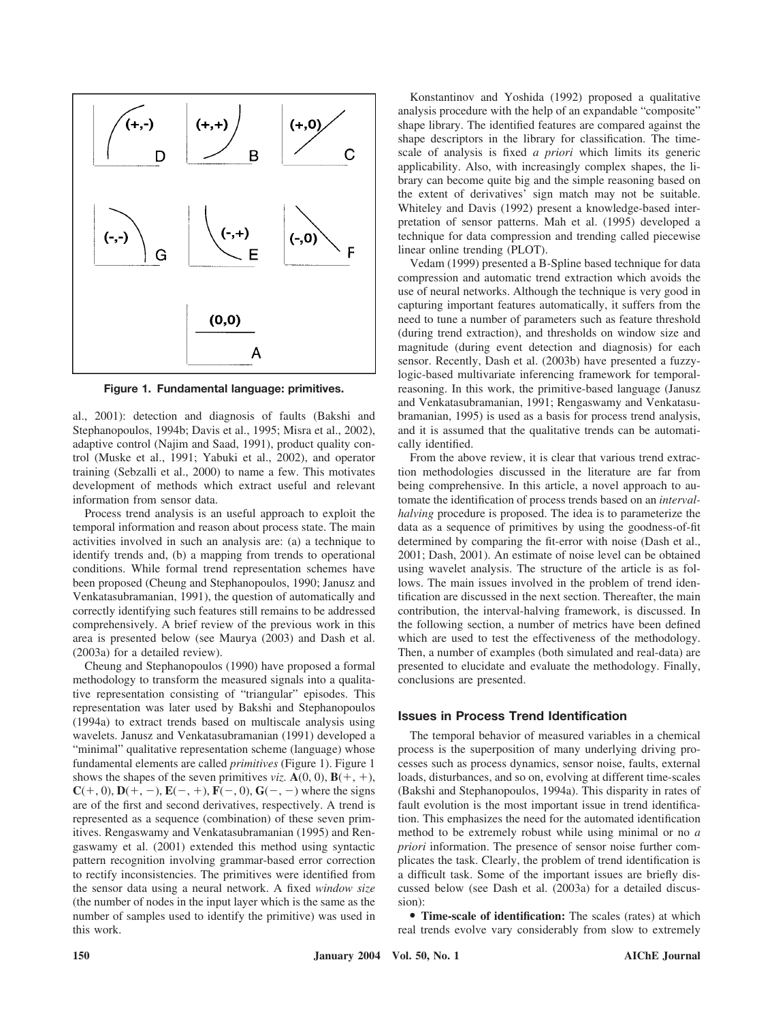

**Figure 1. Fundamental language: primitives.**

al., 2001): detection and diagnosis of faults (Bakshi and Stephanopoulos, 1994b; Davis et al., 1995; Misra et al., 2002), adaptive control (Najim and Saad, 1991), product quality control (Muske et al., 1991; Yabuki et al., 2002), and operator training (Sebzalli et al., 2000) to name a few. This motivates development of methods which extract useful and relevant information from sensor data.

Process trend analysis is an useful approach to exploit the temporal information and reason about process state. The main activities involved in such an analysis are: (a) a technique to identify trends and, (b) a mapping from trends to operational conditions. While formal trend representation schemes have been proposed (Cheung and Stephanopoulos, 1990; Janusz and Venkatasubramanian, 1991), the question of automatically and correctly identifying such features still remains to be addressed comprehensively. A brief review of the previous work in this area is presented below (see Maurya (2003) and Dash et al. (2003a) for a detailed review).

Cheung and Stephanopoulos (1990) have proposed a formal methodology to transform the measured signals into a qualitative representation consisting of "triangular" episodes. This representation was later used by Bakshi and Stephanopoulos (1994a) to extract trends based on multiscale analysis using wavelets. Janusz and Venkatasubramanian (1991) developed a "minimal" qualitative representation scheme (language) whose fundamental elements are called *primitives* (Figure 1). Figure 1 shows the shapes of the seven primitives *viz*.  $A(0, 0)$ ,  $B(+, +)$ ,  $C(+, 0)$ ,  $D(+, -)$ ,  $E(-, +)$ ,  $F(-, 0)$ ,  $G(-, -)$  where the signs are of the first and second derivatives, respectively. A trend is represented as a sequence (combination) of these seven primitives. Rengaswamy and Venkatasubramanian (1995) and Rengaswamy et al. (2001) extended this method using syntactic pattern recognition involving grammar-based error correction to rectify inconsistencies. The primitives were identified from the sensor data using a neural network. A fixed *window size* (the number of nodes in the input layer which is the same as the number of samples used to identify the primitive) was used in this work.

Konstantinov and Yoshida (1992) proposed a qualitative analysis procedure with the help of an expandable "composite" shape library. The identified features are compared against the shape descriptors in the library for classification. The timescale of analysis is fixed *a priori* which limits its generic applicability. Also, with increasingly complex shapes, the library can become quite big and the simple reasoning based on the extent of derivatives' sign match may not be suitable. Whiteley and Davis (1992) present a knowledge-based interpretation of sensor patterns. Mah et al. (1995) developed a technique for data compression and trending called piecewise linear online trending (PLOT).

Vedam (1999) presented a B-Spline based technique for data compression and automatic trend extraction which avoids the use of neural networks. Although the technique is very good in capturing important features automatically, it suffers from the need to tune a number of parameters such as feature threshold (during trend extraction), and thresholds on window size and magnitude (during event detection and diagnosis) for each sensor. Recently, Dash et al. (2003b) have presented a fuzzylogic-based multivariate inferencing framework for temporalreasoning. In this work, the primitive-based language (Janusz and Venkatasubramanian, 1991; Rengaswamy and Venkatasubramanian, 1995) is used as a basis for process trend analysis, and it is assumed that the qualitative trends can be automatically identified.

From the above review, it is clear that various trend extraction methodologies discussed in the literature are far from being comprehensive. In this article, a novel approach to automate the identification of process trends based on an *intervalhalving* procedure is proposed. The idea is to parameterize the data as a sequence of primitives by using the goodness-of-fit determined by comparing the fit-error with noise (Dash et al., 2001; Dash, 2001). An estimate of noise level can be obtained using wavelet analysis. The structure of the article is as follows. The main issues involved in the problem of trend identification are discussed in the next section. Thereafter, the main contribution, the interval-halving framework, is discussed. In the following section, a number of metrics have been defined which are used to test the effectiveness of the methodology. Then, a number of examples (both simulated and real-data) are presented to elucidate and evaluate the methodology. Finally, conclusions are presented.

# **Issues in Process Trend Identification**

The temporal behavior of measured variables in a chemical process is the superposition of many underlying driving processes such as process dynamics, sensor noise, faults, external loads, disturbances, and so on, evolving at different time-scales (Bakshi and Stephanopoulos, 1994a). This disparity in rates of fault evolution is the most important issue in trend identification. This emphasizes the need for the automated identification method to be extremely robust while using minimal or no *a priori* information. The presence of sensor noise further complicates the task. Clearly, the problem of trend identification is a difficult task. Some of the important issues are briefly discussed below (see Dash et al. (2003a) for a detailed discussion):

● **Time-scale of identification:** The scales (rates) at which real trends evolve vary considerably from slow to extremely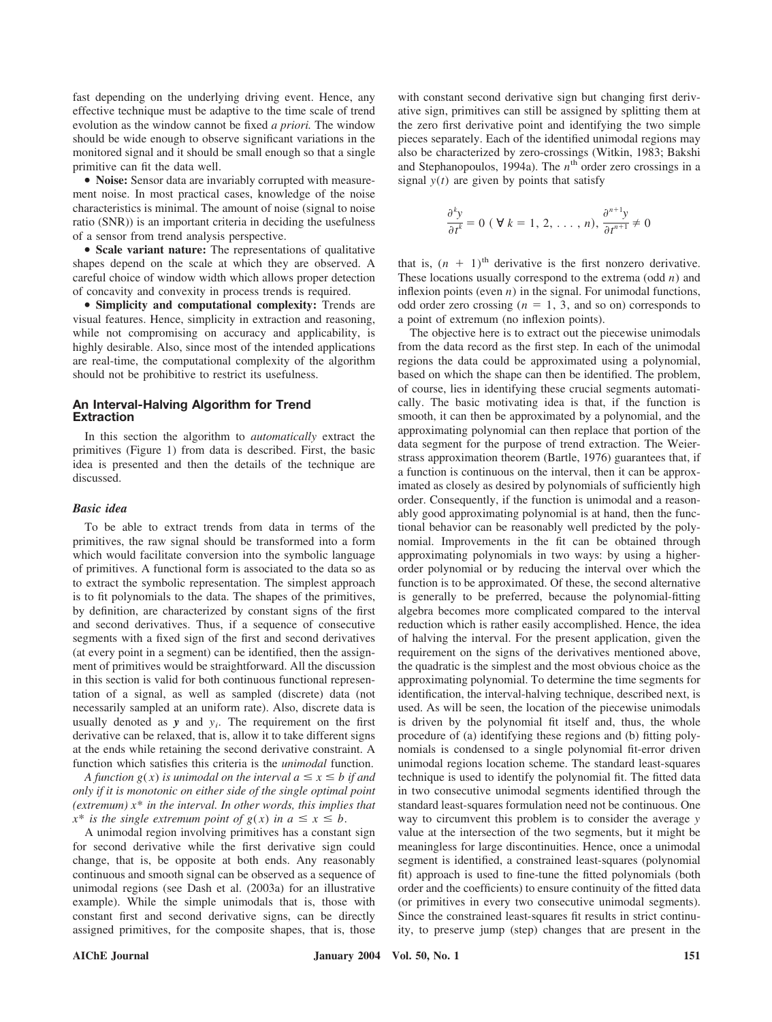fast depending on the underlying driving event. Hence, any effective technique must be adaptive to the time scale of trend evolution as the window cannot be fixed *a priori.* The window should be wide enough to observe significant variations in the monitored signal and it should be small enough so that a single primitive can fit the data well.

● **Noise:** Sensor data are invariably corrupted with measurement noise. In most practical cases, knowledge of the noise characteristics is minimal. The amount of noise (signal to noise ratio (SNR)) is an important criteria in deciding the usefulness of a sensor from trend analysis perspective.

● **Scale variant nature:** The representations of qualitative shapes depend on the scale at which they are observed. A careful choice of window width which allows proper detection of concavity and convexity in process trends is required.

● **Simplicity and computational complexity:** Trends are visual features. Hence, simplicity in extraction and reasoning, while not compromising on accuracy and applicability, is highly desirable. Also, since most of the intended applications are real-time, the computational complexity of the algorithm should not be prohibitive to restrict its usefulness.

# **An Interval-Halving Algorithm for Trend Extraction**

In this section the algorithm to *automatically* extract the primitives (Figure 1) from data is described. First, the basic idea is presented and then the details of the technique are discussed.

# *Basic idea*

To be able to extract trends from data in terms of the primitives, the raw signal should be transformed into a form which would facilitate conversion into the symbolic language of primitives. A functional form is associated to the data so as to extract the symbolic representation. The simplest approach is to fit polynomials to the data. The shapes of the primitives, by definition, are characterized by constant signs of the first and second derivatives. Thus, if a sequence of consecutive segments with a fixed sign of the first and second derivatives (at every point in a segment) can be identified, then the assignment of primitives would be straightforward. All the discussion in this section is valid for both continuous functional representation of a signal, as well as sampled (discrete) data (not necessarily sampled at an uniform rate). Also, discrete data is usually denoted as  $y$  and  $y_i$ . The requirement on the first derivative can be relaxed, that is, allow it to take different signs at the ends while retaining the second derivative constraint. A function which satisfies this criteria is the *unimodal* function.

*A function g(x) is unimodal on the interval*  $a \leq x \leq b$  *if and only if it is monotonic on either side of the single optimal point (extremum) x*\* *in the interval. In other words, this implies that x*<sup>\*</sup> *is the single extremum point of*  $g(x)$  *<i>in a*  $\leq x \leq b$ .

A unimodal region involving primitives has a constant sign for second derivative while the first derivative sign could change, that is, be opposite at both ends. Any reasonably continuous and smooth signal can be observed as a sequence of unimodal regions (see Dash et al. (2003a) for an illustrative example). While the simple unimodals that is, those with constant first and second derivative signs, can be directly assigned primitives, for the composite shapes, that is, those

with constant second derivative sign but changing first derivative sign, primitives can still be assigned by splitting them at the zero first derivative point and identifying the two simple pieces separately. Each of the identified unimodal regions may also be characterized by zero-crossings (Witkin, 1983; Bakshi and Stephanopoulos, 1994a). The *n*<sup>th</sup> order zero crossings in a signal  $y(t)$  are given by points that satisfy

$$
\frac{\partial^k y}{\partial t^k} = 0 \ (\forall k = 1, 2, \dots, n), \frac{\partial^{n+1} y}{\partial t^{n+1}} \neq 0
$$

that is,  $(n + 1)$ <sup>th</sup> derivative is the first nonzero derivative. These locations usually correspond to the extrema (odd *n*) and inflexion points (even *n*) in the signal. For unimodal functions, odd order zero crossing  $(n = 1, 3,$  and so on) corresponds to a point of extremum (no inflexion points).

The objective here is to extract out the piecewise unimodals from the data record as the first step. In each of the unimodal regions the data could be approximated using a polynomial, based on which the shape can then be identified. The problem, of course, lies in identifying these crucial segments automatically. The basic motivating idea is that, if the function is smooth, it can then be approximated by a polynomial, and the approximating polynomial can then replace that portion of the data segment for the purpose of trend extraction. The Weierstrass approximation theorem (Bartle, 1976) guarantees that, if a function is continuous on the interval, then it can be approximated as closely as desired by polynomials of sufficiently high order. Consequently, if the function is unimodal and a reasonably good approximating polynomial is at hand, then the functional behavior can be reasonably well predicted by the polynomial. Improvements in the fit can be obtained through approximating polynomials in two ways: by using a higherorder polynomial or by reducing the interval over which the function is to be approximated. Of these, the second alternative is generally to be preferred, because the polynomial-fitting algebra becomes more complicated compared to the interval reduction which is rather easily accomplished. Hence, the idea of halving the interval. For the present application, given the requirement on the signs of the derivatives mentioned above, the quadratic is the simplest and the most obvious choice as the approximating polynomial. To determine the time segments for identification, the interval-halving technique, described next, is used. As will be seen, the location of the piecewise unimodals is driven by the polynomial fit itself and, thus, the whole procedure of (a) identifying these regions and (b) fitting polynomials is condensed to a single polynomial fit-error driven unimodal regions location scheme. The standard least-squares technique is used to identify the polynomial fit. The fitted data in two consecutive unimodal segments identified through the standard least-squares formulation need not be continuous. One way to circumvent this problem is to consider the average *y* value at the intersection of the two segments, but it might be meaningless for large discontinuities. Hence, once a unimodal segment is identified, a constrained least-squares (polynomial fit) approach is used to fine-tune the fitted polynomials (both order and the coefficients) to ensure continuity of the fitted data (or primitives in every two consecutive unimodal segments). Since the constrained least-squares fit results in strict continuity, to preserve jump (step) changes that are present in the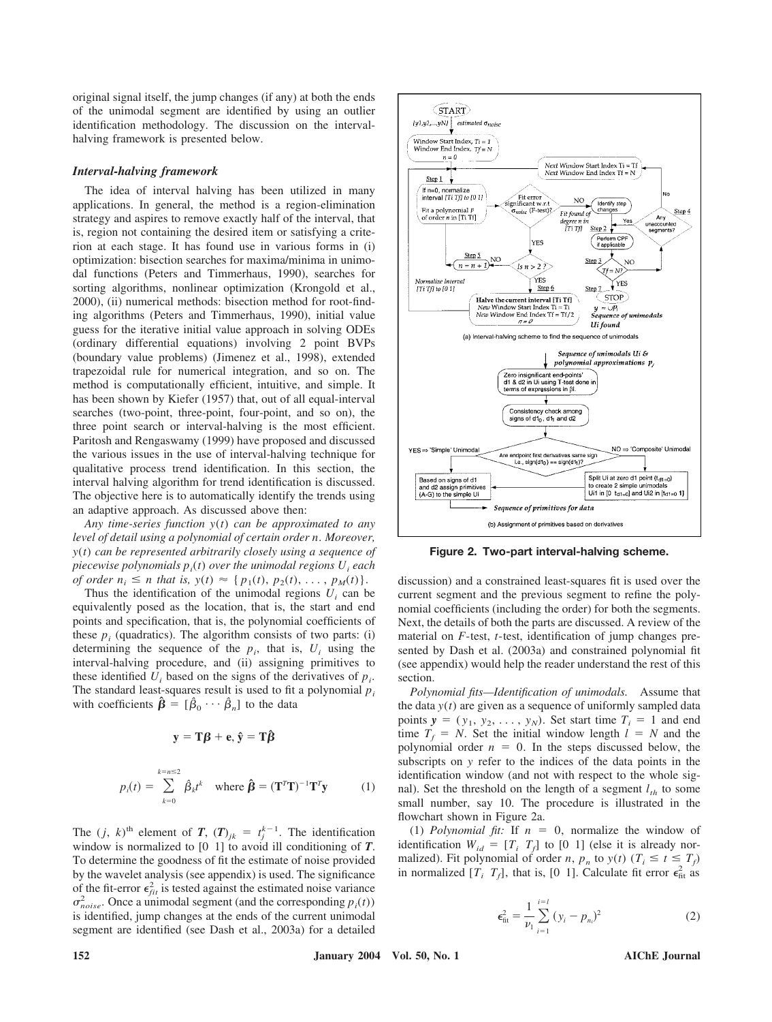original signal itself, the jump changes (if any) at both the ends of the unimodal segment are identified by using an outlier identification methodology. The discussion on the intervalhalving framework is presented below.

# *Interval-halving framework*

The idea of interval halving has been utilized in many applications. In general, the method is a region-elimination strategy and aspires to remove exactly half of the interval, that is, region not containing the desired item or satisfying a criterion at each stage. It has found use in various forms in (i) optimization: bisection searches for maxima/minima in unimodal functions (Peters and Timmerhaus, 1990), searches for sorting algorithms, nonlinear optimization (Krongold et al., 2000), (ii) numerical methods: bisection method for root-finding algorithms (Peters and Timmerhaus, 1990), initial value guess for the iterative initial value approach in solving ODEs (ordinary differential equations) involving 2 point BVPs (boundary value problems) (Jimenez et al., 1998), extended trapezoidal rule for numerical integration, and so on. The method is computationally efficient, intuitive, and simple. It has been shown by Kiefer (1957) that, out of all equal-interval searches (two-point, three-point, four-point, and so on), the three point search or interval-halving is the most efficient. Paritosh and Rengaswamy (1999) have proposed and discussed the various issues in the use of interval-halving technique for qualitative process trend identification. In this section, the interval halving algorithm for trend identification is discussed. The objective here is to automatically identify the trends using an adaptive approach. As discussed above then:

*Any time-series function y*(*t*) *can be approximated to any level of detail using a polynomial of certain order n*. *Moreover, y*(*t*) *can be represented arbitrarily closely using a sequence of piecewise polynomials p<sup>i</sup>* (*t*) *over the unimodal regions U<sup>i</sup> each of order*  $n_i \leq n$  *that is,*  $y(t) \approx \{p_1(t), p_2(t), \ldots, p_M(t)\}.$ 

Thus the identification of the unimodal regions  $U_i$  can be equivalently posed as the location, that is, the start and end points and specification, that is, the polynomial coefficients of these  $p_i$  (quadratics). The algorithm consists of two parts: (i) determining the sequence of the  $p_i$ , that is,  $U_i$  using the interval-halving procedure, and (ii) assigning primitives to these identified  $U_i$  based on the signs of the derivatives of  $p_i$ . The standard least-squares result is used to fit a polynomial *p<sup>i</sup>* with coefficients  $\hat{\boldsymbol{\beta}} = [\hat{\beta}_0 \cdots \hat{\beta}_n]$  to the data

$$
y = T\beta + e, \hat{y} = T\hat{\beta}
$$

$$
p_i(t) = \sum_{k=0}^{k=n\leq 2} \hat{\beta}_k t^k \quad \text{where } \hat{\beta} = (\mathbf{T}^T \mathbf{T})^{-1} \mathbf{T}^T \mathbf{y} \tag{1}
$$

The  $(j, k)$ <sup>th</sup> element of *T*,  $(T)_{jk} = t_j^{k-1}$ . The identification window is normalized to [0 1] to avoid ill conditioning of *T*. To determine the goodness of fit the estimate of noise provided by the wavelet analysis (see appendix) is used. The significance of the fit-error  $\epsilon_{fit}^2$  is tested against the estimated noise variance  $\sigma_{noise}^2$ . Once a unimodal segment (and the corresponding  $p_i(t)$ ) is identified, jump changes at the ends of the current unimodal segment are identified (see Dash et al., 2003a) for a detailed



**Figure 2. Two-part interval-halving scheme.**

discussion) and a constrained least-squares fit is used over the current segment and the previous segment to refine the polynomial coefficients (including the order) for both the segments. Next, the details of both the parts are discussed. A review of the material on *F*-test, *t*-test, identification of jump changes presented by Dash et al. (2003a) and constrained polynomial fit (see appendix) would help the reader understand the rest of this section.

*Polynomial fits—Identification of unimodals.* Assume that the data  $y(t)$  are given as a sequence of uniformly sampled data points  $y = (y_1, y_2, \ldots, y_N)$ . Set start time  $T_i = 1$  and end time  $T_f = N$ . Set the initial window length  $l = N$  and the polynomial order  $n = 0$ . In the steps discussed below, the subscripts on *y* refer to the indices of the data points in the identification window (and not with respect to the whole signal). Set the threshold on the length of a segment  $l_{th}$  to some small number, say 10. The procedure is illustrated in the flowchart shown in Figure 2a.

(1) *Polynomial fit:* If  $n = 0$ , normalize the window of identification  $W_{id} = [T_i \ T_f]$  to [0 1] (else it is already normalized). Fit polynomial of order *n*,  $p_n$  to  $y(t)$  ( $T_i \le t \le T_f$ ) in normalized  $[T_i \ T_f]$ , that is, [0 1]. Calculate fit error  $\epsilon_{\text{fit}}^2$  as

$$
\epsilon_{\text{fit}}^2 = \frac{1}{\nu_1} \sum_{i=1}^{i=l} (y_i - p_{n_i})^2
$$
 (2)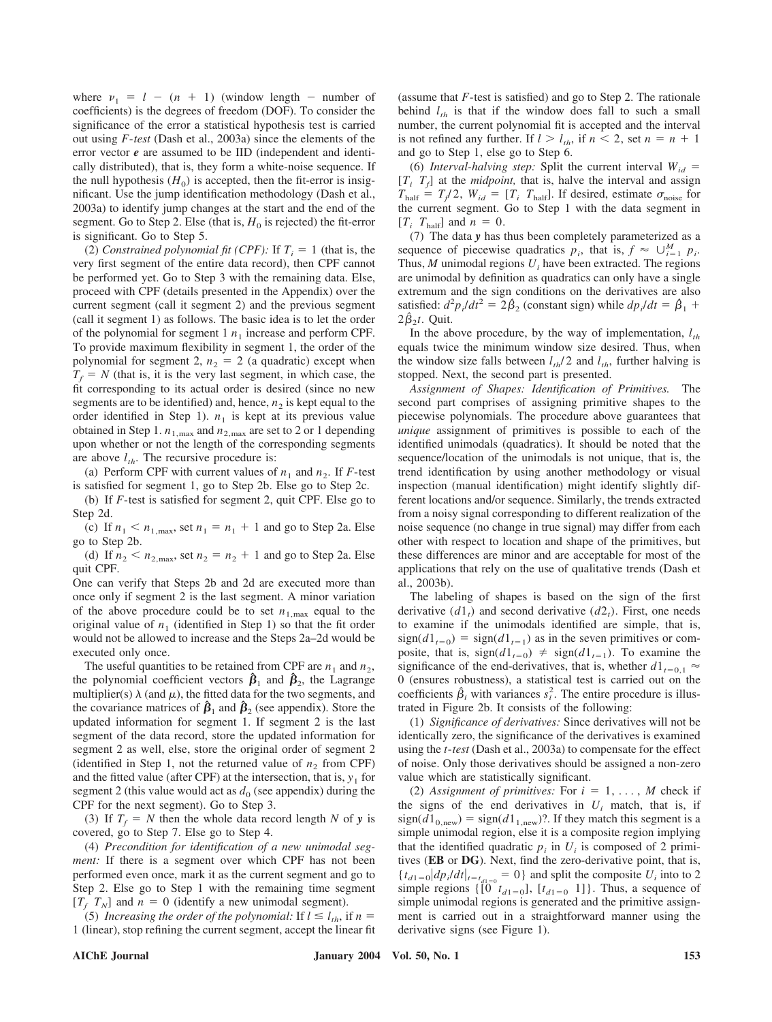where  $v_1 = l - (n + 1)$  (window length - number of coefficients) is the degrees of freedom (DOF). To consider the significance of the error a statistical hypothesis test is carried out using *F*-*test* (Dash et al., 2003a) since the elements of the error vector *e* are assumed to be IID (independent and identically distributed), that is, they form a white-noise sequence. If the null hypothesis  $(H_0)$  is accepted, then the fit-error is insignificant. Use the jump identification methodology (Dash et al., 2003a) to identify jump changes at the start and the end of the segment. Go to Step 2. Else (that is,  $H_0$  is rejected) the fit-error is significant. Go to Step 5.

(2) *Constrained polynomial fit (CPF):* If  $T_i = 1$  (that is, the very first segment of the entire data record), then CPF cannot be performed yet. Go to Step 3 with the remaining data. Else, proceed with CPF (details presented in the Appendix) over the current segment (call it segment 2) and the previous segment (call it segment 1) as follows. The basic idea is to let the order of the polynomial for segment  $1 \, n_1$  increase and perform CPF. To provide maximum flexibility in segment 1, the order of the polynomial for segment 2,  $n_2 = 2$  (a quadratic) except when  $T_f = N$  (that is, it is the very last segment, in which case, the fit corresponding to its actual order is desired (since no new segments are to be identified) and, hence,  $n_2$  is kept equal to the order identified in Step 1).  $n_1$  is kept at its previous value obtained in Step 1.  $n_{1,\text{max}}$  and  $n_{2,\text{max}}$  are set to 2 or 1 depending upon whether or not the length of the corresponding segments are above *l th*. The recursive procedure is:

(a) Perform CPF with current values of  $n_1$  and  $n_2$ . If *F*-test is satisfied for segment 1, go to Step 2b. Else go to Step 2c.

(b) If *F*-test is satisfied for segment 2, quit CPF. Else go to Step 2d.

(c) If  $n_1 < n_{1,\text{max}}$ , set  $n_1 = n_1 + 1$  and go to Step 2a. Else go to Step 2b.

(d) If  $n_2 < n_{2,\text{max}}$ , set  $n_2 = n_2 + 1$  and go to Step 2a. Else quit CPF.

One can verify that Steps 2b and 2d are executed more than once only if segment 2 is the last segment. A minor variation of the above procedure could be to set  $n_{1,\text{max}}$  equal to the original value of  $n_1$  (identified in Step 1) so that the fit order would not be allowed to increase and the Steps 2a–2d would be executed only once.

The useful quantities to be retained from CPF are  $n_1$  and  $n_2$ , the polynomial coefficient vectors  $\hat{\boldsymbol{\beta}}_1$  and  $\hat{\boldsymbol{\beta}}_2$ , the Lagrange multiplier(s)  $\lambda$  (and  $\mu$ ), the fitted data for the two segments, and the covariance matrices of  $\hat{\boldsymbol{\beta}}_1$  and  $\hat{\boldsymbol{\beta}}_2$  (see appendix). Store the updated information for segment 1. If segment 2 is the last segment of the data record, store the updated information for segment 2 as well, else, store the original order of segment 2 (identified in Step 1, not the returned value of  $n_2$  from CPF) and the fitted value (after CPF) at the intersection, that is,  $y_1$  for segment 2 (this value would act as  $d_0$  (see appendix) during the CPF for the next segment). Go to Step 3.

(3) If  $T_f = N$  then the whole data record length *N* of *y* is covered, go to Step 7. Else go to Step 4.

(4) *Precondition for identification of a new unimodal segment:* If there is a segment over which CPF has not been performed even once, mark it as the current segment and go to Step 2. Else go to Step 1 with the remaining time segment  $[T_f T_N]$  and  $n = 0$  (identify a new unimodal segment).

(5) *Increasing the order of the polynomial:* If  $l \leq l_{th}$ , if  $n =$ 1 (linear), stop refining the current segment, accept the linear fit (assume that *F*-test is satisfied) and go to Step 2. The rationale behind  $l_{th}$  is that if the window does fall to such a small number, the current polynomial fit is accepted and the interval is not refined any further. If  $l > l_{th}$ , if  $n < 2$ , set  $n = n + 1$ and go to Step 1, else go to Step 6.

(6) *Interval-halving step:* Split the current interval  $W_{id}$  =  $[T_i \ T_f]$  at the *midpoint*, that is, halve the interval and assign  $T_{\text{half}} = T_f/2$ ,  $W_{id} = [T_i \ T_{\text{half}}]$ . If desired, estimate  $\sigma_{\text{noise}}$  for the current segment. Go to Step 1 with the data segment in  $[T_i \ T_{half}]$  and  $n = 0$ .

(7) The data *y* has thus been completely parameterized as a sequence of piecewise quadratics  $p_i$ , that is,  $f \approx \bigcup_{i=1}^M p_i$ . Thus,  $M$  unimodal regions  $U_i$  have been extracted. The regions are unimodal by definition as quadratics can only have a single extremum and the sign conditions on the derivatives are also satisfied:  $d^2 p_i/dt^2 = 2\hat{\beta}_2$  (constant sign) while  $dp_i/dt = \hat{\beta}_1$  +  $2\hat{\beta}_2 t$ . Quit.

In the above procedure, by the way of implementation, *l th* equals twice the minimum window size desired. Thus, when the window size falls between  $l_{th}/2$  and  $l_{th}$ , further halving is stopped. Next, the second part is presented.

*Assignment of Shapes: Identification of Primitives.* The second part comprises of assigning primitive shapes to the piecewise polynomials. The procedure above guarantees that *unique* assignment of primitives is possible to each of the identified unimodals (quadratics). It should be noted that the sequence/location of the unimodals is not unique, that is, the trend identification by using another methodology or visual inspection (manual identification) might identify slightly different locations and/or sequence. Similarly, the trends extracted from a noisy signal corresponding to different realization of the noise sequence (no change in true signal) may differ from each other with respect to location and shape of the primitives, but these differences are minor and are acceptable for most of the applications that rely on the use of qualitative trends (Dash et al., 2003b).

The labeling of shapes is based on the sign of the first derivative  $(d1<sub>t</sub>)$  and second derivative  $(d2<sub>t</sub>)$ . First, one needs to examine if the unimodals identified are simple, that is,  $sign(d)_{t=0}$  =  $sign(d)_{t=1}$  as in the seven primitives or composite, that is,  $sign(d1_{t=0}) \neq sign(d1_{t=1})$ . To examine the significance of the end-derivatives, that is, whether  $d1_{t=0,1} \approx$ 0 (ensures robustness), a statistical test is carried out on the coefficients  $\hat{\beta}_i$  with variances  $s_i^2$ . The entire procedure is illustrated in Figure 2b. It consists of the following:

(1) *Significance of derivatives:* Since derivatives will not be identically zero, the significance of the derivatives is examined using the *t*-*test* (Dash et al., 2003a) to compensate for the effect of noise. Only those derivatives should be assigned a non-zero value which are statistically significant.

(2) Assignment of primitives: For  $i = 1, \ldots, M$  check if the signs of the end derivatives in  $U_i$  match, that is, if  $sign(d1_{0,\text{new}}) = sign(d1_{1,\text{new}})$ ?. If they match this segment is a simple unimodal region, else it is a composite region implying that the identified quadratic  $p_i$  in  $U_i$  is composed of 2 primitives (**EB** or **DG**). Next, find the zero-derivative point, that is,  ${t_{d1=0} | dp_i/dt |_{t=t_{d1=0}} = 0}$  and split the composite  $U_i$  into to 2 simple regions  $\{[0 \ t_{d1=0}], [t_{d1=0} \ 1]\}$ . Thus, a sequence of simple unimodal regions is generated and the primitive assignment is carried out in a straightforward manner using the derivative signs (see Figure 1).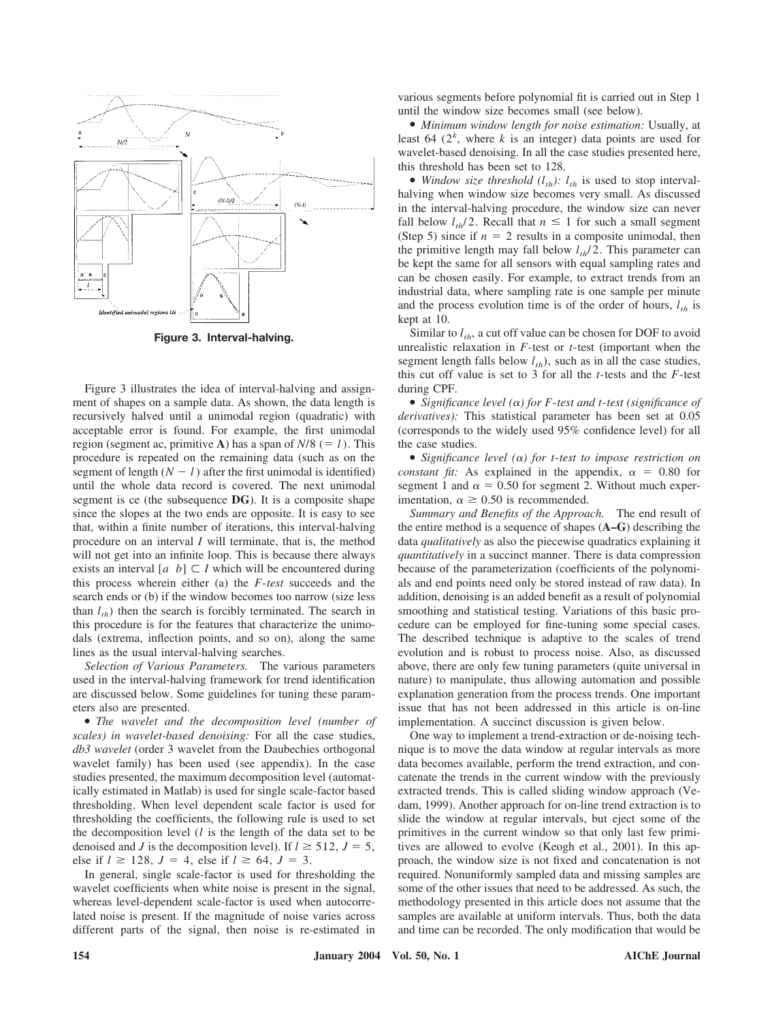

**Figure 3. Interval-halving.**

Figure 3 illustrates the idea of interval-halving and assignment of shapes on a sample data. As shown, the data length is recursively halved until a unimodal region (quadratic) with acceptable error is found. For example, the first unimodal region (segment ac, primitive **A**) has a span of  $N/8$  (= 1). This procedure is repeated on the remaining data (such as on the segment of length  $(N - l)$  after the first unimodal is identified) until the whole data record is covered. The next unimodal segment is ce (the subsequence **DG**). It is a composite shape since the slopes at the two ends are opposite. It is easy to see that, within a finite number of iterations, this interval-halving procedure on an interval *I* will terminate, that is, the method will not get into an infinite loop. This is because there always exists an interval  $[a, b] \subset I$  which will be encountered during this process wherein either (a) the *F*-*test* succeeds and the search ends or (b) if the window becomes too narrow (size less than  $l_{th}$ ) then the search is forcibly terminated. The search in this procedure is for the features that characterize the unimodals (extrema, inflection points, and so on), along the same lines as the usual interval-halving searches.

*Selection of Various Parameters.* The various parameters used in the interval-halving framework for trend identification are discussed below. Some guidelines for tuning these parameters also are presented.

● *The wavelet and the decomposition level (number of scales) in wavelet-based denoising:* For all the case studies, *db3 wavelet* (order 3 wavelet from the Daubechies orthogonal wavelet family) has been used (see appendix). In the case studies presented, the maximum decomposition level (automatically estimated in Matlab) is used for single scale-factor based thresholding. When level dependent scale factor is used for thresholding the coefficients, the following rule is used to set the decomposition level (*l* is the length of the data set to be denoised and *J* is the decomposition level). If  $l \ge 512$ ,  $J = 5$ , else if  $l \ge 128$ ,  $J = 4$ , else if  $l \ge 64$ ,  $J = 3$ .

In general, single scale-factor is used for thresholding the wavelet coefficients when white noise is present in the signal, whereas level-dependent scale-factor is used when autocorrelated noise is present. If the magnitude of noise varies across different parts of the signal, then noise is re-estimated in

various segments before polynomial fit is carried out in Step 1 until the window size becomes small (see below).

● *Minimum window length for noise estimation:* Usually, at least 64  $(2^k$ , where *k* is an integer) data points are used for wavelet-based denoising. In all the case studies presented here, this threshold has been set to 128.

● *Window size threshold (lth): lth* is used to stop intervalhalving when window size becomes very small. As discussed in the interval-halving procedure, the window size can never fall below  $l_{th}/2$ . Recall that  $n \leq 1$  for such a small segment (Step 5) since if  $n = 2$  results in a composite unimodal, then the primitive length may fall below *l th*/ 2. This parameter can be kept the same for all sensors with equal sampling rates and can be chosen easily. For example, to extract trends from an industrial data, where sampling rate is one sample per minute and the process evolution time is of the order of hours, *l th* is kept at 10.

Similar to  $l_{th}$ , a cut off value can be chosen for DOF to avoid unrealistic relaxation in *F*-test or *t*-test (important when the segment length falls below  $l_{th}$ ), such as in all the case studies, this cut off value is set to 3 for all the *t*-tests and the *F*-test during CPF.

● *Significance level () for F*-*test and t*-*test (significance of derivatives):* This statistical parameter has been set at 0.05 (corresponds to the widely used 95% confidence level) for all the case studies.

● *Significance level () for t*-*test to impose restriction on constant fit:* As explained in the appendix,  $\alpha = 0.80$  for segment 1 and  $\alpha = 0.50$  for segment 2. Without much experimentation,  $\alpha \geq 0.50$  is recommended.

*Summary and Benefits of the Approach.* The end result of the entire method is a sequence of shapes (**A–G**) describing the data *qualitatively* as also the piecewise quadratics explaining it *quantitatively* in a succinct manner. There is data compression because of the parameterization (coefficients of the polynomials and end points need only be stored instead of raw data). In addition, denoising is an added benefit as a result of polynomial smoothing and statistical testing. Variations of this basic procedure can be employed for fine-tuning some special cases. The described technique is adaptive to the scales of trend evolution and is robust to process noise. Also, as discussed above, there are only few tuning parameters (quite universal in nature) to manipulate, thus allowing automation and possible explanation generation from the process trends. One important issue that has not been addressed in this article is on-line implementation. A succinct discussion is given below.

One way to implement a trend-extraction or de-noising technique is to move the data window at regular intervals as more data becomes available, perform the trend extraction, and concatenate the trends in the current window with the previously extracted trends. This is called sliding window approach (Vedam, 1999). Another approach for on-line trend extraction is to slide the window at regular intervals, but eject some of the primitives in the current window so that only last few primitives are allowed to evolve (Keogh et al., 2001). In this approach, the window size is not fixed and concatenation is not required. Nonuniformly sampled data and missing samples are some of the other issues that need to be addressed. As such, the methodology presented in this article does not assume that the samples are available at uniform intervals. Thus, both the data and time can be recorded. The only modification that would be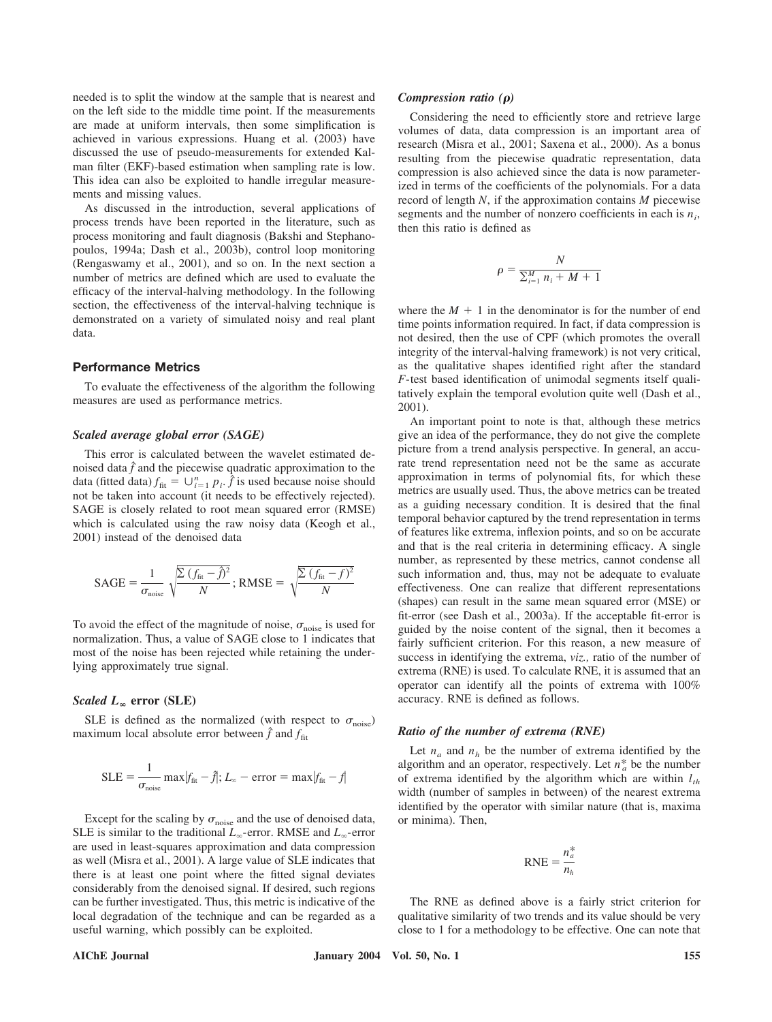needed is to split the window at the sample that is nearest and on the left side to the middle time point. If the measurements are made at uniform intervals, then some simplification is achieved in various expressions. Huang et al. (2003) have discussed the use of pseudo-measurements for extended Kalman filter (EKF)-based estimation when sampling rate is low. This idea can also be exploited to handle irregular measurements and missing values.

As discussed in the introduction, several applications of process trends have been reported in the literature, such as process monitoring and fault diagnosis (Bakshi and Stephanopoulos, 1994a; Dash et al., 2003b), control loop monitoring (Rengaswamy et al., 2001), and so on. In the next section a number of metrics are defined which are used to evaluate the efficacy of the interval-halving methodology. In the following section, the effectiveness of the interval-halving technique is demonstrated on a variety of simulated noisy and real plant data.

## **Performance Metrics**

To evaluate the effectiveness of the algorithm the following measures are used as performance metrics.

#### *Scaled average global error (SAGE)*

This error is calculated between the wavelet estimated denoised data  $\hat{f}$  and the piecewise quadratic approximation to the data (fitted data)  $f_{\text{fit}} = \bigcup_{i=1}^{n} p_i \cdot \hat{f}$  is used because noise should not be taken into account (it needs to be effectively rejected). SAGE is closely related to root mean squared error (RMSE) which is calculated using the raw noisy data (Keogh et al., 2001) instead of the denoised data

$$
\text{SAGE} = \frac{1}{\sigma_{\text{noise}}} \sqrt{\frac{\sum (f_{\text{fit}} - \hat{f})^2}{N}}; \text{RMSE} = \sqrt{\frac{\sum (f_{\text{fit}} - f)^2}{N}}
$$

To avoid the effect of the magnitude of noise,  $\sigma_{\text{noise}}$  is used for normalization. Thus, a value of SAGE close to 1 indicates that most of the noise has been rejected while retaining the underlying approximately true signal.

## *Scaled L* **error (SLE)**

SLE is defined as the normalized (with respect to  $\sigma_{\text{noise}}$ ) maximum local absolute error between  $\hat{f}$  and  $f_{\text{fit}}$ 

$$
SLE = \frac{1}{\sigma_{\text{noise}}} \max |f_{\text{fit}} - \hat{f}|; L_{\infty} - \text{error} = \max |f_{\text{fit}} - f|
$$

Except for the scaling by  $\sigma_{\text{noise}}$  and the use of denoised data, SLE is similar to the traditional  $L_{\infty}$ -error. RMSE and  $L_{\infty}$ -error are used in least-squares approximation and data compression as well (Misra et al., 2001). A large value of SLE indicates that there is at least one point where the fitted signal deviates considerably from the denoised signal. If desired, such regions can be further investigated. Thus, this metric is indicative of the local degradation of the technique and can be regarded as a useful warning, which possibly can be exploited.

## *Compression ratio ()*

Considering the need to efficiently store and retrieve large volumes of data, data compression is an important area of research (Misra et al., 2001; Saxena et al., 2000). As a bonus resulting from the piecewise quadratic representation, data compression is also achieved since the data is now parameterized in terms of the coefficients of the polynomials. For a data record of length *N*, if the approximation contains *M* piecewise segments and the number of nonzero coefficients in each is *n<sup>i</sup>* , then this ratio is defined as

$$
\rho = \frac{N}{\sum_{i=1}^{M} n_i + M + 1}
$$

where the  $M + 1$  in the denominator is for the number of end time points information required. In fact, if data compression is not desired, then the use of CPF (which promotes the overall integrity of the interval-halving framework) is not very critical, as the qualitative shapes identified right after the standard *F*-test based identification of unimodal segments itself qualitatively explain the temporal evolution quite well (Dash et al., 2001).

An important point to note is that, although these metrics give an idea of the performance, they do not give the complete picture from a trend analysis perspective. In general, an accurate trend representation need not be the same as accurate approximation in terms of polynomial fits, for which these metrics are usually used. Thus, the above metrics can be treated as a guiding necessary condition. It is desired that the final temporal behavior captured by the trend representation in terms of features like extrema, inflexion points, and so on be accurate and that is the real criteria in determining efficacy. A single number, as represented by these metrics, cannot condense all such information and, thus, may not be adequate to evaluate effectiveness. One can realize that different representations (shapes) can result in the same mean squared error (MSE) or fit-error (see Dash et al., 2003a). If the acceptable fit-error is guided by the noise content of the signal, then it becomes a fairly sufficient criterion. For this reason, a new measure of success in identifying the extrema, *viz.,* ratio of the number of extrema (RNE) is used. To calculate RNE, it is assumed that an operator can identify all the points of extrema with 100% accuracy. RNE is defined as follows.

# *Ratio of the number of extrema (RNE)*

Let  $n_a$  and  $n_h$  be the number of extrema identified by the algorithm and an operator, respectively. Let  $n_a^*$  be the number of extrema identified by the algorithm which are within *l th* width (number of samples in between) of the nearest extrema identified by the operator with similar nature (that is, maxima or minima). Then,

$$
RNE = \frac{n_a^*}{n_h}
$$

The RNE as defined above is a fairly strict criterion for qualitative similarity of two trends and its value should be very close to 1 for a methodology to be effective. One can note that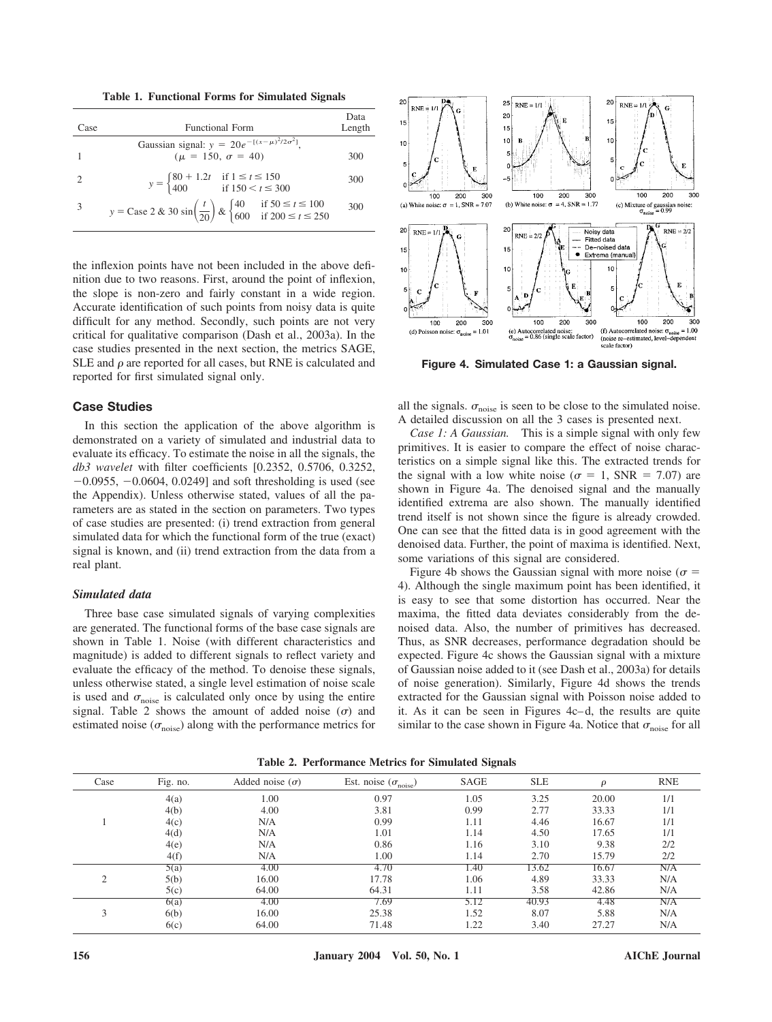**Table 1. Functional Forms for Simulated Signals**

| Case           | <b>Functional Form</b>                                                                                                                               |     |  |  |  |
|----------------|------------------------------------------------------------------------------------------------------------------------------------------------------|-----|--|--|--|
|                | Gaussian signal: $y = 20e^{-[(x-\mu)^2/2\sigma^2]}$ ,<br>$(\mu = 150, \sigma = 40)$                                                                  | 300 |  |  |  |
| $\overline{2}$ | $y = \begin{cases} 80 + 1.2t & \text{if } 1 \le t \le 150 \\ 400 & \text{if } 150 < t \le 300 \end{cases}$                                           | 300 |  |  |  |
|                |                                                                                                                                                      |     |  |  |  |
| 3              | y = Case 2 & 30 sin $\left(\frac{t}{20}\right)$ & $\begin{cases} 40 & \text{if } 50 \le t \le 100 \\ 600 & \text{if } 200 \le t \le 250 \end{cases}$ | 300 |  |  |  |

the inflexion points have not been included in the above definition due to two reasons. First, around the point of inflexion, the slope is non-zero and fairly constant in a wide region. Accurate identification of such points from noisy data is quite difficult for any method. Secondly, such points are not very critical for qualitative comparison (Dash et al., 2003a). In the case studies presented in the next section, the metrics SAGE, SLE and  $\rho$  are reported for all cases, but RNE is calculated and reported for first simulated signal only.

# **Case Studies**

In this section the application of the above algorithm is demonstrated on a variety of simulated and industrial data to evaluate its efficacy. To estimate the noise in all the signals, the *db3 wavelet* with filter coefficients [0.2352, 0.5706, 0.3252,  $-0.0955, -0.0604, 0.0249$ ] and soft thresholding is used (see the Appendix). Unless otherwise stated, values of all the parameters are as stated in the section on parameters. Two types of case studies are presented: (i) trend extraction from general simulated data for which the functional form of the true (exact) signal is known, and (ii) trend extraction from the data from a real plant.

## *Simulated data*

Three base case simulated signals of varying complexities are generated. The functional forms of the base case signals are shown in Table 1. Noise (with different characteristics and magnitude) is added to different signals to reflect variety and evaluate the efficacy of the method. To denoise these signals, unless otherwise stated, a single level estimation of noise scale is used and  $\sigma_{\text{noise}}$  is calculated only once by using the entire signal. Table 2 shows the amount of added noise  $(\sigma)$  and estimated noise ( $\sigma_{noise}$ ) along with the performance metrics for



**Figure 4. Simulated Case 1: a Gaussian signal.**

all the signals.  $\sigma_{\text{noise}}$  is seen to be close to the simulated noise. A detailed discussion on all the 3 cases is presented next.

*Case 1: A Gaussian.* This is a simple signal with only few primitives. It is easier to compare the effect of noise characteristics on a simple signal like this. The extracted trends for the signal with a low white noise ( $\sigma = 1$ , SNR = 7.07) are shown in Figure 4a. The denoised signal and the manually identified extrema are also shown. The manually identified trend itself is not shown since the figure is already crowded. One can see that the fitted data is in good agreement with the denoised data. Further, the point of maxima is identified. Next, some variations of this signal are considered.

Figure 4b shows the Gaussian signal with more noise ( $\sigma$  = 4). Although the single maximum point has been identified, it is easy to see that some distortion has occurred. Near the maxima, the fitted data deviates considerably from the denoised data. Also, the number of primitives has decreased. Thus, as SNR decreases, performance degradation should be expected. Figure 4c shows the Gaussian signal with a mixture of Gaussian noise added to it (see Dash et al., 2003a) for details of noise generation). Similarly, Figure 4d shows the trends extracted for the Gaussian signal with Poisson noise added to it. As it can be seen in Figures 4c– d, the results are quite similar to the case shown in Figure 4a. Notice that  $\sigma_{\text{noise}}$  for all

| Case | Fig. no. | Added noise $(\sigma)$ | Est. noise $(\sigma_{\text{noise}})$ | SAGE | <b>SLE</b> | o     | <b>RNE</b> |
|------|----------|------------------------|--------------------------------------|------|------------|-------|------------|
|      | 4(a)     | 1.00                   | 0.97                                 | 1.05 | 3.25       | 20.00 | 1/1        |
|      | 4(b)     | 4.00                   | 3.81                                 | 0.99 | 2.77       | 33.33 | 1/1        |
|      | 4(c)     | N/A                    | 0.99                                 | 1.11 | 4.46       | 16.67 | 1/1        |
|      | 4(d)     | N/A                    | 1.01                                 | 1.14 | 4.50       | 17.65 | 1/1        |
|      | 4(e)     | N/A                    | 0.86                                 | 1.16 | 3.10       | 9.38  | 2/2        |
|      | 4(f)     | N/A                    | 1.00                                 | 1.14 | 2.70       | 15.79 | 2/2        |
|      | 5(a)     | 4.00                   | 4.70                                 | 1.40 | 13.62      | 16.67 | N/A        |
|      | 5(b)     | 16.00                  | 17.78                                | 1.06 | 4.89       | 33.33 | N/A        |
|      | 5(c)     | 64.00                  | 64.31                                | 1.11 | 3.58       | 42.86 | N/A        |
|      | 6(a)     | 4.00                   | 7.69                                 | 5.12 | 40.93      | 4.48  | N/A        |
| 3    | 6(b)     | 16.00                  | 25.38                                | 1.52 | 8.07       | 5.88  | N/A        |
|      | 6(c)     | 64.00                  | 71.48                                | 1.22 | 3.40       | 27.27 | N/A        |

**Table 2. Performance Metrics for Simulated Signals**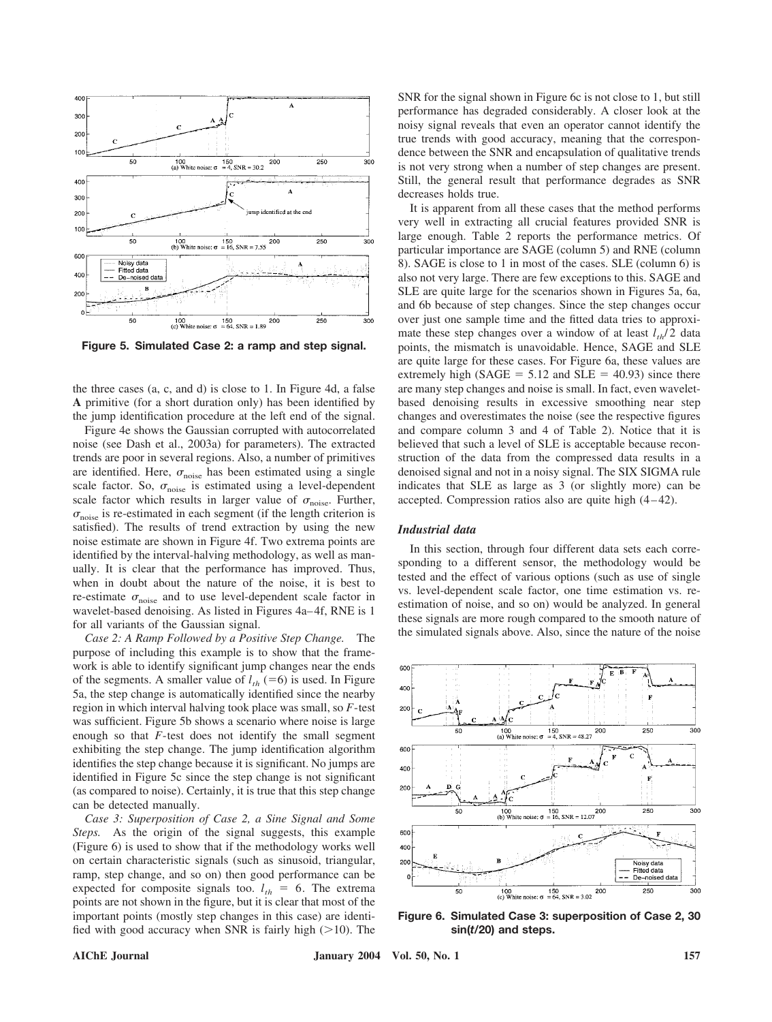

**Figure 5. Simulated Case 2: a ramp and step signal.**

the three cases (a, c, and d) is close to 1. In Figure 4d, a false **A** primitive (for a short duration only) has been identified by the jump identification procedure at the left end of the signal.

Figure 4e shows the Gaussian corrupted with autocorrelated noise (see Dash et al., 2003a) for parameters). The extracted trends are poor in several regions. Also, a number of primitives are identified. Here,  $\sigma_{\text{noise}}$  has been estimated using a single scale factor. So,  $\sigma_{\text{noise}}$  is estimated using a level-dependent scale factor which results in larger value of  $\sigma_{\text{noise}}$ . Further,  $\sigma_{\text{noise}}$  is re-estimated in each segment (if the length criterion is satisfied). The results of trend extraction by using the new noise estimate are shown in Figure 4f. Two extrema points are identified by the interval-halving methodology, as well as manually. It is clear that the performance has improved. Thus, when in doubt about the nature of the noise, it is best to re-estimate  $\sigma_{\text{noise}}$  and to use level-dependent scale factor in wavelet-based denoising. As listed in Figures 4a–4f, RNE is 1 for all variants of the Gaussian signal.

*Case 2: A Ramp Followed by a Positive Step Change.* The purpose of including this example is to show that the framework is able to identify significant jump changes near the ends of the segments. A smaller value of  $l_{th}$  (=6) is used. In Figure 5a, the step change is automatically identified since the nearby region in which interval halving took place was small, so *F*-test was sufficient. Figure 5b shows a scenario where noise is large enough so that *F*-test does not identify the small segment exhibiting the step change. The jump identification algorithm identifies the step change because it is significant. No jumps are identified in Figure 5c since the step change is not significant (as compared to noise). Certainly, it is true that this step change can be detected manually.

*Case 3: Superposition of Case 2, a Sine Signal and Some Steps.* As the origin of the signal suggests, this example (Figure 6) is used to show that if the methodology works well on certain characteristic signals (such as sinusoid, triangular, ramp, step change, and so on) then good performance can be expected for composite signals too.  $l_{th} = 6$ . The extrema points are not shown in the figure, but it is clear that most of the important points (mostly step changes in this case) are identified with good accuracy when SNR is fairly high  $(>10)$ . The SNR for the signal shown in Figure 6c is not close to 1, but still performance has degraded considerably. A closer look at the noisy signal reveals that even an operator cannot identify the true trends with good accuracy, meaning that the correspondence between the SNR and encapsulation of qualitative trends is not very strong when a number of step changes are present. Still, the general result that performance degrades as SNR decreases holds true.

It is apparent from all these cases that the method performs very well in extracting all crucial features provided SNR is large enough. Table 2 reports the performance metrics. Of particular importance are SAGE (column 5) and RNE (column 8). SAGE is close to 1 in most of the cases. SLE (column 6) is also not very large. There are few exceptions to this. SAGE and SLE are quite large for the scenarios shown in Figures 5a, 6a, and 6b because of step changes. Since the step changes occur over just one sample time and the fitted data tries to approximate these step changes over a window of at least  $l_{th}/2$  data points, the mismatch is unavoidable. Hence, SAGE and SLE are quite large for these cases. For Figure 6a, these values are extremely high (SAGE  $= 5.12$  and SLE  $= 40.93$ ) since there are many step changes and noise is small. In fact, even waveletbased denoising results in excessive smoothing near step changes and overestimates the noise (see the respective figures and compare column 3 and 4 of Table 2). Notice that it is believed that such a level of SLE is acceptable because reconstruction of the data from the compressed data results in a denoised signal and not in a noisy signal. The SIX SIGMA rule indicates that SLE as large as 3 (or slightly more) can be accepted. Compression ratios also are quite high (4 – 42).

# *Industrial data*

In this section, through four different data sets each corresponding to a different sensor, the methodology would be tested and the effect of various options (such as use of single vs. level-dependent scale factor, one time estimation vs. reestimation of noise, and so on) would be analyzed. In general these signals are more rough compared to the smooth nature of the simulated signals above. Also, since the nature of the noise



**Figure 6. Simulated Case 3: superposition of Case 2, 30 sin(***t***/20) and steps.**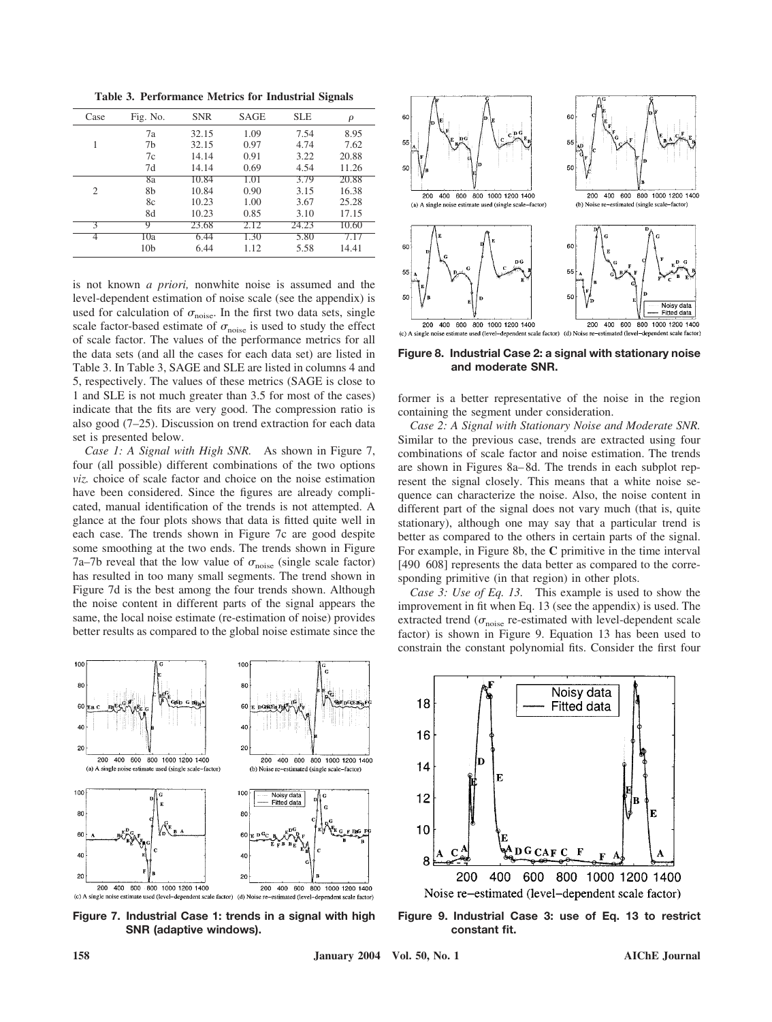**Table 3. Performance Metrics for Industrial Signals**

| Case | Fig. No.        | <b>SNR</b> | <b>SAGE</b> | <b>SLE</b> | ρ     |
|------|-----------------|------------|-------------|------------|-------|
|      | 7a              | 32.15      | 1.09        | 7.54       | 8.95  |
|      | 7b              | 32.15      | 0.97        | 4.74       | 7.62  |
|      | 7c              | 14.14      | 0.91        | 3.22       | 20.88 |
|      | 7d              | 14.14      | 0.69        | 4.54       | 11.26 |
|      | 8a              | 10.84      | 1.01        | 3.79       | 20.88 |
| 2    | 8b              | 10.84      | 0.90        | 3.15       | 16.38 |
|      | 8c              | 10.23      | 1.00        | 3.67       | 25.28 |
|      | 8d              | 10.23      | 0.85        | 3.10       | 17.15 |
| 3    | 9               | 23.68      | 2.12        | 24.23      | 10.60 |
| 4    | 10a             | 6.44       | 1.30        | 5.80       | 7.17  |
|      | 10 <sub>b</sub> | 6.44       | 1.12        | 5.58       | 14.41 |

is not known *a priori,* nonwhite noise is assumed and the level-dependent estimation of noise scale (see the appendix) is used for calculation of  $\sigma_{\text{noise}}$ . In the first two data sets, single scale factor-based estimate of  $\sigma_{\text{noise}}$  is used to study the effect of scale factor. The values of the performance metrics for all the data sets (and all the cases for each data set) are listed in Table 3. In Table 3, SAGE and SLE are listed in columns 4 and 5, respectively. The values of these metrics (SAGE is close to 1 and SLE is not much greater than 3.5 for most of the cases) indicate that the fits are very good. The compression ratio is also good (7–25). Discussion on trend extraction for each data set is presented below.

*Case 1: A Signal with High SNR.* As shown in Figure 7, four (all possible) different combinations of the two options *viz.* choice of scale factor and choice on the noise estimation have been considered. Since the figures are already complicated, manual identification of the trends is not attempted. A glance at the four plots shows that data is fitted quite well in each case. The trends shown in Figure 7c are good despite some smoothing at the two ends. The trends shown in Figure 7a–7b reveal that the low value of  $\sigma_{\text{noise}}$  (single scale factor) has resulted in too many small segments. The trend shown in Figure 7d is the best among the four trends shown. Although the noise content in different parts of the signal appears the same, the local noise estimate (re-estimation of noise) provides better results as compared to the global noise estimate since the



**Figure 7. Industrial Case 1: trends in a signal with high SNR (adaptive windows).**



**Figure 8. Industrial Case 2: a signal with stationary noise and moderate SNR.**

former is a better representative of the noise in the region containing the segment under consideration.

*Case 2: A Signal with Stationary Noise and Moderate SNR.* Similar to the previous case, trends are extracted using four combinations of scale factor and noise estimation. The trends are shown in Figures 8a– 8d. The trends in each subplot represent the signal closely. This means that a white noise sequence can characterize the noise. Also, the noise content in different part of the signal does not vary much (that is, quite stationary), although one may say that a particular trend is better as compared to the others in certain parts of the signal. For example, in Figure 8b, the **C** primitive in the time interval [490 608] represents the data better as compared to the corresponding primitive (in that region) in other plots.

*Case 3: Use of Eq. 13.* This example is used to show the improvement in fit when Eq. 13 (see the appendix) is used. The extracted trend ( $\sigma_{\text{noise}}$  re-estimated with level-dependent scale factor) is shown in Figure 9. Equation 13 has been used to constrain the constant polynomial fits. Consider the first four



**Figure 9. Industrial Case 3: use of Eq. 13 to restrict constant fit.**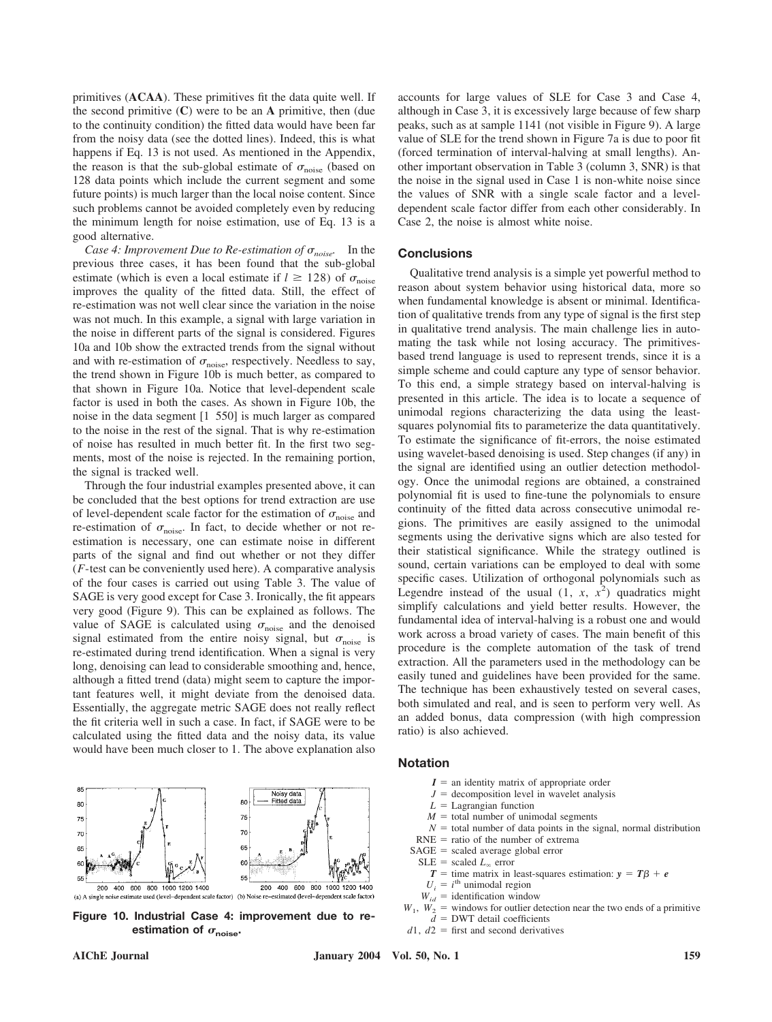primitives (**ACAA**). These primitives fit the data quite well. If the second primitive (**C**) were to be an **A** primitive, then (due to the continuity condition) the fitted data would have been far from the noisy data (see the dotted lines). Indeed, this is what happens if Eq. 13 is not used. As mentioned in the Appendix, the reason is that the sub-global estimate of  $\sigma_{\text{noise}}$  (based on 128 data points which include the current segment and some future points) is much larger than the local noise content. Since such problems cannot be avoided completely even by reducing the minimum length for noise estimation, use of Eq. 13 is a good alternative.

*Case 4: Improvement Due to Re-estimation of*  $\sigma_{noise}$ . In the previous three cases, it has been found that the sub-global estimate (which is even a local estimate if  $l \ge 128$ ) of  $\sigma_{\text{noise}}$ improves the quality of the fitted data. Still, the effect of re-estimation was not well clear since the variation in the noise was not much. In this example, a signal with large variation in the noise in different parts of the signal is considered. Figures 10a and 10b show the extracted trends from the signal without and with re-estimation of  $\sigma_{\text{noise}}$ , respectively. Needless to say, the trend shown in Figure 10b is much better, as compared to that shown in Figure 10a. Notice that level-dependent scale factor is used in both the cases. As shown in Figure 10b, the noise in the data segment [1 550] is much larger as compared to the noise in the rest of the signal. That is why re-estimation of noise has resulted in much better fit. In the first two segments, most of the noise is rejected. In the remaining portion, the signal is tracked well.

Through the four industrial examples presented above, it can be concluded that the best options for trend extraction are use of level-dependent scale factor for the estimation of  $\sigma_{\text{noise}}$  and re-estimation of  $\sigma_{\text{noise}}$ . In fact, to decide whether or not reestimation is necessary, one can estimate noise in different parts of the signal and find out whether or not they differ (*F*-test can be conveniently used here). A comparative analysis of the four cases is carried out using Table 3. The value of SAGE is very good except for Case 3. Ironically, the fit appears very good (Figure 9). This can be explained as follows. The value of SAGE is calculated using  $\sigma_{\text{noise}}$  and the denoised signal estimated from the entire noisy signal, but  $\sigma_{\text{noise}}$  is re-estimated during trend identification. When a signal is very long, denoising can lead to considerable smoothing and, hence, although a fitted trend (data) might seem to capture the important features well, it might deviate from the denoised data. Essentially, the aggregate metric SAGE does not really reflect the fit criteria well in such a case. In fact, if SAGE were to be calculated using the fitted data and the noisy data, its value would have been much closer to 1. The above explanation also



**Figure 10. Industrial Case 4: improvement due to re**estimation of  $\sigma_{\text{noise}}$ .

accounts for large values of SLE for Case 3 and Case 4, although in Case 3, it is excessively large because of few sharp peaks, such as at sample 1141 (not visible in Figure 9). A large value of SLE for the trend shown in Figure 7a is due to poor fit (forced termination of interval-halving at small lengths). Another important observation in Table 3 (column 3, SNR) is that the noise in the signal used in Case 1 is non-white noise since the values of SNR with a single scale factor and a leveldependent scale factor differ from each other considerably. In Case 2, the noise is almost white noise.

# **Conclusions**

Qualitative trend analysis is a simple yet powerful method to reason about system behavior using historical data, more so when fundamental knowledge is absent or minimal. Identification of qualitative trends from any type of signal is the first step in qualitative trend analysis. The main challenge lies in automating the task while not losing accuracy. The primitivesbased trend language is used to represent trends, since it is a simple scheme and could capture any type of sensor behavior. To this end, a simple strategy based on interval-halving is presented in this article. The idea is to locate a sequence of unimodal regions characterizing the data using the leastsquares polynomial fits to parameterize the data quantitatively. To estimate the significance of fit-errors, the noise estimated using wavelet-based denoising is used. Step changes (if any) in the signal are identified using an outlier detection methodology. Once the unimodal regions are obtained, a constrained polynomial fit is used to fine-tune the polynomials to ensure continuity of the fitted data across consecutive unimodal regions. The primitives are easily assigned to the unimodal segments using the derivative signs which are also tested for their statistical significance. While the strategy outlined is sound, certain variations can be employed to deal with some specific cases. Utilization of orthogonal polynomials such as Legendre instead of the usual  $(1, x, x^2)$  quadratics might simplify calculations and yield better results. However, the fundamental idea of interval-halving is a robust one and would work across a broad variety of cases. The main benefit of this procedure is the complete automation of the task of trend extraction. All the parameters used in the methodology can be easily tuned and guidelines have been provided for the same. The technique has been exhaustively tested on several cases, both simulated and real, and is seen to perform very well. As an added bonus, data compression (with high compression ratio) is also achieved.

# **Notation**

- $I =$  an identity matrix of appropriate order
- $J =$  decomposition level in wavelet analysis
- $L =$  Lagrangian function
- $M =$  total number of unimodal segments
- $N =$  total number of data points in the signal, normal distribution
- $RNE =$  ratio of the number of extrema
- $SAGE = scaled average global error$ 
	- $SLE = \text{scaled } L_{\infty}$  error
		- $T =$  time matrix in least-squares estimation:  $y = T\beta + e$
		- $U_i = i^{\text{th}}$  unimodal region
- $W_{id}$  = identification window  $W_1$ ,  $W_2$  = windows for outlier detection near the two ends of a primitive
- $d = DWT$  detail coefficients  $d1$ ,  $d2 =$  first and second derivatives
- **AIChE Journal January 2004 Vol. 50, No. 1 159**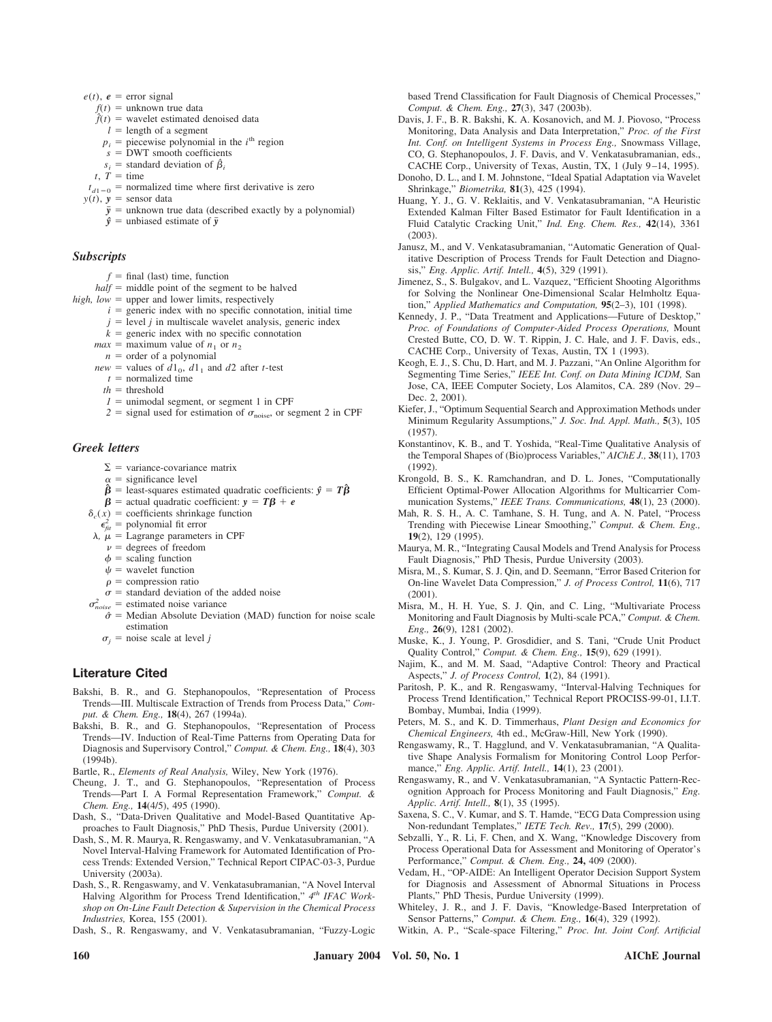$e(t)$ ,  $e$  = error signal

- $f(t) =$  unknown true data
- $\hat{f}(t)$  = wavelet estimated denoised data  $l =$  length of a segment
- 
- $p_i$  = piecewise polynomial in the *i*<sup>th</sup> region
- $s = DWT$  smooth coefficients  $s_i$  = standard deviation of  $\hat{\beta}_i$
- $t, \, \dot{T} = \text{time}$
- $t_{d1=0}$  = normalized time where first derivative is zero
- $y(t)$ ,  $y =$  sensor data
	- $\bar{y}$  = unknown true data (described exactly by a polynomial)
	- $\hat{y}$  = unbiased estimate of  $\bar{y}$

## *Subscripts*

- $f = \text{final}$  (last) time, function
- $half = middle point of the segment to be halved$
- $high, low = upper and lower limits, respectively$ 
	- $i =$  generic index with no specific connotation, initial time
	- $j$  = level *j* in multiscale wavelet analysis, generic index
	- $k =$  generic index with no specific connotation
	- $max =$  maximum value of  $n_1$  or  $n_2$
	- $n =$  order of a polynomial
	- $new$  = values of  $d1_0$ ,  $d1_1$  and  $d2$  after *t*-test
	- $t =$  normalized time
	- $th =$  threshold
	- $1 =$  unimodal segment, or segment 1 in CPF
	- $2 =$  signal used for estimation of  $\sigma_{\text{noise}}$ , or segment 2 in CPF

## *Greek letters*

- $\Sigma$  = variance-covariance matrix
- $\alpha$  = significance level
- $\hat{\beta}$  = least-squares estimated quadratic coefficients:  $\hat{v} = T\hat{\beta}$
- $\beta$  = actual quadratic coefficient:  $y = T\beta + e$
- $\delta_c(x)$  = coefficients shrinkage function
- $\epsilon_{fit}^2$  = polynomial fit error
- $\lambda$ ,  $\mu$  = Lagrange parameters in CPF
	- $\nu$  = degrees of freedom
	- $\phi$  = scaling function
	- $\psi$  = wavelet function
	- $\rho$  = compression ratio
	- $\sigma$  = standard deviation of the added noise
- $\sigma_{noise}^2$  = estimated noise variance
	- $\hat{\sigma}$  = Median Absolute Deviation (MAD) function for noise scale estimation
	- $\sigma_i$  = noise scale at level *j*

## **Literature Cited**

- Bakshi, B. R., and G. Stephanopoulos, "Representation of Process Trends—III. Multiscale Extraction of Trends from Process Data," *Comput. & Chem. Eng.,* **18**(4), 267 (1994a).
- Bakshi, B. R., and G. Stephanopoulos, "Representation of Process Trends—IV. Induction of Real-Time Patterns from Operating Data for Diagnosis and Supervisory Control," *Comput. & Chem. Eng.,* **18**(4), 303 (1994b).
- Bartle, R., *Elements of Real Analysis,* Wiley, New York (1976).
- Cheung, J. T., and G. Stephanopoulos, "Representation of Process Trends—Part I. A Formal Representation Framework," *Comput. & Chem. Eng.,* **14**(4/5), 495 (1990).
- Dash, S., "Data-Driven Qualitative and Model-Based Quantitative Approaches to Fault Diagnosis," PhD Thesis, Purdue University (2001).
- Dash, S., M. R. Maurya, R. Rengaswamy, and V. Venkatasubramanian, "A Novel Interval-Halving Framework for Automated Identification of Process Trends: Extended Version," Technical Report CIPAC-03-3, Purdue University (2003a).
- Dash, S., R. Rengaswamy, and V. Venkatasubramanian, "A Novel Interval Halving Algorithm for Process Trend Identification," 4<sup>th</sup> IFAC Work*shop on On-Line Fault Detection & Supervision in the Chemical Process Industries,* Korea, 155 (2001).
- Dash, S., R. Rengaswamy, and V. Venkatasubramanian, "Fuzzy-Logic

based Trend Classification for Fault Diagnosis of Chemical Processes," *Comput. & Chem. Eng.,* **27**(3), 347 (2003b).

- Davis, J. F., B. R. Bakshi, K. A. Kosanovich, and M. J. Piovoso, "Process Monitoring, Data Analysis and Data Interpretation," *Proc. of the First Int. Conf. on Intelligent Systems in Process Eng.,* Snowmass Village, CO, G. Stephanopoulos, J. F. Davis, and V. Venkatasubramanian, eds., CACHE Corp., University of Texas, Austin, TX, 1 (July 9-14, 1995).
- Donoho, D. L., and I. M. Johnstone, "Ideal Spatial Adaptation via Wavelet Shrinkage," *Biometrika,* **81**(3), 425 (1994).
- Huang, Y. J., G. V. Reklaitis, and V. Venkatasubramanian, "A Heuristic Extended Kalman Filter Based Estimator for Fault Identification in a Fluid Catalytic Cracking Unit," *Ind. Eng. Chem. Res.,* **42**(14), 3361 (2003).
- Janusz, M., and V. Venkatasubramanian, "Automatic Generation of Qualitative Description of Process Trends for Fault Detection and Diagnosis," *Eng. Applic. Artif. Intell.,* **4**(5), 329 (1991).
- Jimenez, S., S. Bulgakov, and L. Vazquez, "Efficient Shooting Algorithms for Solving the Nonlinear One-Dimensional Scalar Helmholtz Equation," *Applied Mathematics and Computation,* **95**(2–3), 101 (1998).
- Kennedy, J. P., "Data Treatment and Applications—Future of Desktop," *Proc. of Foundations of Computer-Aided Process Operations,* Mount Crested Butte, CO, D. W. T. Rippin, J. C. Hale, and J. F. Davis, eds., CACHE Corp., University of Texas, Austin, TX 1 (1993).
- Keogh, E. J., S. Chu, D. Hart, and M. J. Pazzani, "An Online Algorithm for Segmenting Time Series," *IEEE Int. Conf. on Data Mining ICDM,* San Jose, CA, IEEE Computer Society, Los Alamitos, CA. 289 (Nov. 29 – Dec. 2, 2001).
- Kiefer, J., "Optimum Sequential Search and Approximation Methods under Minimum Regularity Assumptions," *J. Soc. Ind. Appl. Math.,* **5**(3), 105 (1957).
- Konstantinov, K. B., and T. Yoshida, "Real-Time Qualitative Analysis of the Temporal Shapes of (Bio)process Variables," *AIChE J.,* **38**(11), 1703 (1992).
- Krongold, B. S., K. Ramchandran, and D. L. Jones, "Computationally Efficient Optimal-Power Allocation Algorithms for Multicarrier Communication Systems," *IEEE Trans. Communications,* **48**(1), 23 (2000).
- Mah, R. S. H., A. C. Tamhane, S. H. Tung, and A. N. Patel, "Process Trending with Piecewise Linear Smoothing," *Comput. & Chem. Eng.,* **19**(2), 129 (1995).
- Maurya, M. R., "Integrating Causal Models and Trend Analysis for Process Fault Diagnosis," PhD Thesis, Purdue University (2003).
- Misra, M., S. Kumar, S. J. Qin, and D. Seemann, "Error Based Criterion for On-line Wavelet Data Compression," *J. of Process Control,* **11**(6), 717 (2001).
- Misra, M., H. H. Yue, S. J. Qin, and C. Ling, "Multivariate Process Monitoring and Fault Diagnosis by Multi-scale PCA," *Comput. & Chem. Eng.,* **26**(9), 1281 (2002).
- Muske, K., J. Young, P. Grosdidier, and S. Tani, "Crude Unit Product Quality Control," *Comput. & Chem. Eng.,* **15**(9), 629 (1991).
- Najim, K., and M. M. Saad, "Adaptive Control: Theory and Practical Aspects," *J. of Process Control,* **1**(2), 84 (1991).
- Paritosh, P. K., and R. Rengaswamy, "Interval-Halving Techniques for Process Trend Identification," Technical Report PROCISS-99-01, I.I.T. Bombay, Mumbai, India (1999).
- Peters, M. S., and K. D. Timmerhaus, *Plant Design and Economics for Chemical Engineers,* 4th ed., McGraw-Hill, New York (1990).
- Rengaswamy, R., T. Hagglund, and V. Venkatasubramanian, "A Qualitative Shape Analysis Formalism for Monitoring Control Loop Performance," *Eng. Applic. Artif. Intell.,* **14**(1), 23 (2001).
- Rengaswamy, R., and V. Venkatasubramanian, "A Syntactic Pattern-Recognition Approach for Process Monitoring and Fault Diagnosis," *Eng. Applic. Artif. Intell.,* **8**(1), 35 (1995).
- Saxena, S. C., V. Kumar, and S. T. Hamde, "ECG Data Compression using Non-redundant Templates," *IETE Tech. Rev.,* **17**(5), 299 (2000).
- Sebzalli, Y., R. Li, F. Chen, and X. Wang, "Knowledge Discovery from Process Operational Data for Assessment and Monitoring of Operator's Performance," *Comput. & Chem. Eng.,* **24,** 409 (2000).
- Vedam, H., "OP-AIDE: An Intelligent Operator Decision Support System for Diagnosis and Assessment of Abnormal Situations in Process Plants," PhD Thesis, Purdue University (1999).
- Whiteley, J. R., and J. F. Davis, "Knowledge-Based Interpretation of Sensor Patterns," *Comput. & Chem. Eng.,* **16**(4), 329 (1992).
- Witkin, A. P., "Scale-space Filtering," *Proc. Int. Joint Conf. Artificial*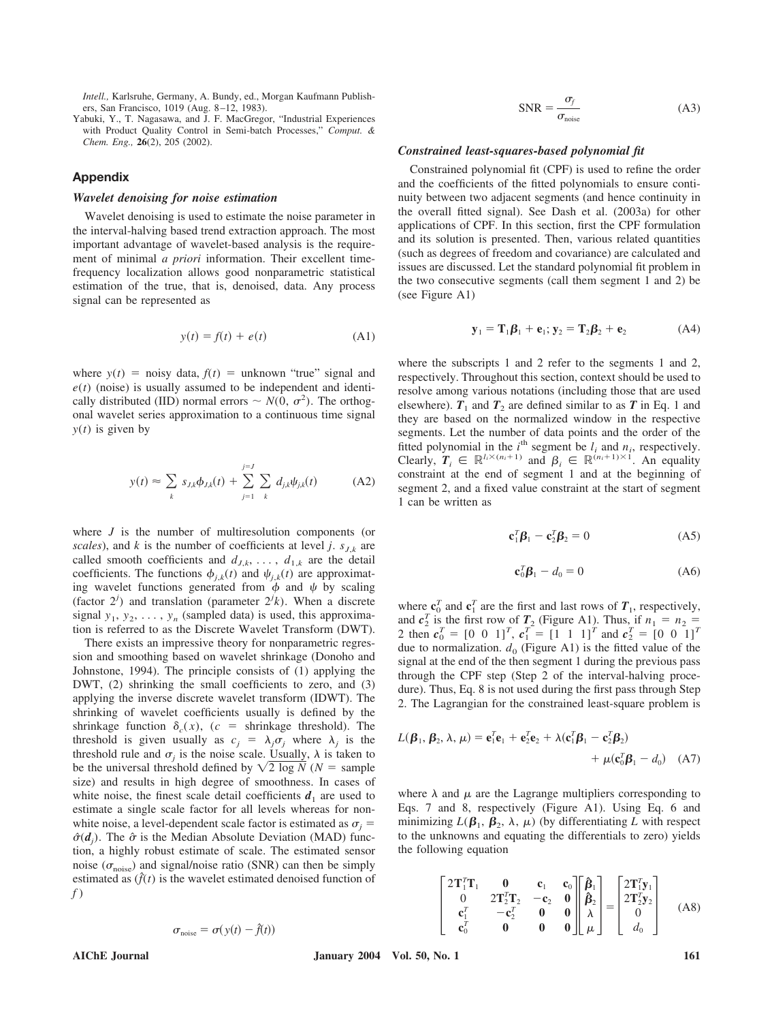*Intell.,* Karlsruhe, Germany, A. Bundy, ed., Morgan Kaufmann Publishers, San Francisco, 1019 (Aug. 8-12, 1983).

Yabuki, Y., T. Nagasawa, and J. F. MacGregor, "Industrial Experiences with Product Quality Control in Semi-batch Processes," *Comput. & Chem. Eng.,* **26**(2), 205 (2002).

# **Appendix**

# *Wavelet denoising for noise estimation*

Wavelet denoising is used to estimate the noise parameter in the interval-halving based trend extraction approach. The most important advantage of wavelet-based analysis is the requirement of minimal *a priori* information. Their excellent timefrequency localization allows good nonparametric statistical estimation of the true, that is, denoised, data. Any process signal can be represented as

$$
y(t) = f(t) + e(t)
$$
 (A1)

where  $y(t)$  = noisy data,  $f(t)$  = unknown "true" signal and  $e(t)$  (noise) is usually assumed to be independent and identically distributed (IID) normal errors  $\sim N(0, \sigma^2)$ . The orthogonal wavelet series approximation to a continuous time signal *y*(*t*) is given by

$$
y(t) \approx \sum_{k} s_{j,k} \phi_{j,k}(t) + \sum_{j=1}^{j=J} \sum_{k} d_{j,k} \psi_{j,k}(t)
$$
 (A2)

where *J* is the number of multiresolution components (or scales), and *k* is the number of coefficients at level *j*.  $s_{J,k}$  are called smooth coefficients and  $d_{J,k}$ , ...,  $d_{1,k}$  are the detail coefficients. The functions  $\phi_{j,k}(t)$  and  $\psi_{j,k}(t)$  are approximating wavelet functions generated from  $\phi$  and  $\psi$  by scaling (factor  $2^j$ ) and translation (parameter  $2^j k$ ). When a discrete signal  $y_1, y_2, \ldots, y_n$  (sampled data) is used, this approximation is referred to as the Discrete Wavelet Transform (DWT).

There exists an impressive theory for nonparametric regression and smoothing based on wavelet shrinkage (Donoho and Johnstone, 1994). The principle consists of (1) applying the DWT, (2) shrinking the small coefficients to zero, and (3) applying the inverse discrete wavelet transform (IDWT). The shrinking of wavelet coefficients usually is defined by the shrinkage function  $\delta_c(x)$ , ( $c = \text{shrinkage threshold}$ ). The threshold is given usually as  $c_j = \lambda_j \sigma_j$  where  $\lambda_j$  is the threshold rule and  $\sigma_j$  is the noise scale. Usually,  $\lambda$  is taken to be the universal threshold defined by  $\sqrt{2 \log N}$  ( $N =$  sample size) and results in high degree of smoothness. In cases of white noise, the finest scale detail coefficients  $d_1$  are used to estimate a single scale factor for all levels whereas for nonwhite noise, a level-dependent scale factor is estimated as  $\sigma_i$  =  $\hat{\sigma}(\boldsymbol{d}_j)$ . The  $\hat{\sigma}$  is the Median Absolute Deviation (MAD) function, a highly robust estimate of scale. The estimated sensor noise ( $\sigma_{\text{noise}}$ ) and signal/noise ratio (SNR) can then be simply estimated as  $(\hat{f}(t))$  is the wavelet estimated denoised function of *f* )

$$
\sigma_{\text{noise}} = \sigma(y(t) - \hat{f}(t))
$$

$$
SNR = \frac{\sigma_f}{\sigma_{\text{noise}}} \tag{A3}
$$

## *Constrained least-squares-based polynomial fit*

Constrained polynomial fit (CPF) is used to refine the order and the coefficients of the fitted polynomials to ensure continuity between two adjacent segments (and hence continuity in the overall fitted signal). See Dash et al. (2003a) for other applications of CPF. In this section, first the CPF formulation and its solution is presented. Then, various related quantities (such as degrees of freedom and covariance) are calculated and issues are discussed. Let the standard polynomial fit problem in the two consecutive segments (call them segment 1 and 2) be (see Figure A1)

$$
\mathbf{y}_1 = \mathbf{T}_1 \boldsymbol{\beta}_1 + \mathbf{e}_1; \mathbf{y}_2 = \mathbf{T}_2 \boldsymbol{\beta}_2 + \mathbf{e}_2 \tag{A4}
$$

where the subscripts 1 and 2 refer to the segments 1 and 2, respectively. Throughout this section, context should be used to resolve among various notations (including those that are used elsewhere).  $T_1$  and  $T_2$  are defined similar to as  $T$  in Eq. 1 and they are based on the normalized window in the respective segments. Let the number of data points and the order of the fitted polynomial in the  $i^{\text{th}}$  segment be  $l_i$  and  $n_i$ , respectively. Clearly,  $T_i \in \mathbb{R}^{l_i \times (n_i+1)}$  and  $\beta_i \in \mathbb{R}^{(n_i+1)\times 1}$ . An equality constraint at the end of segment 1 and at the beginning of segment 2, and a fixed value constraint at the start of segment 1 can be written as

$$
\mathbf{c}_1^T \mathbf{\beta}_1 - \mathbf{c}_2^T \mathbf{\beta}_2 = 0 \tag{A5}
$$

$$
\mathbf{c}_0^T \mathbf{\beta}_1 - d_0 = 0 \tag{A6}
$$

where  $\mathbf{c}_0^T$  and  $\mathbf{c}_1^T$  are the first and last rows of  $T_1$ , respectively, and  $c_2^T$  is the first row of  $T_2$  (Figure A1). Thus, if  $n_1 = n_2 =$ 2 then  $c_0^T = [0 \ 0 \ 1]^T$ ,  $c_1^T = [1 \ 1 \ 1]^T$  and  $c_2^T = [0 \ 0 \ 1]^T$ due to normalization.  $d_0$  (Figure A1) is the fitted value of the signal at the end of the then segment 1 during the previous pass through the CPF step (Step 2 of the interval-halving procedure). Thus, Eq. 8 is not used during the first pass through Step 2. The Lagrangian for the constrained least-square problem is

$$
L(\boldsymbol{\beta}_1, \boldsymbol{\beta}_2, \lambda, \mu) = \mathbf{e}_1^T \mathbf{e}_1 + \mathbf{e}_2^T \mathbf{e}_2 + \lambda (\mathbf{c}_1^T \boldsymbol{\beta}_1 - \mathbf{c}_2^T \boldsymbol{\beta}_2) + \mu (\mathbf{c}_0^T \boldsymbol{\beta}_1 - d_0) \quad (A7)
$$

where  $\lambda$  and  $\mu$  are the Lagrange multipliers corresponding to Eqs. 7 and 8, respectively (Figure A1). Using Eq. 6 and minimizing  $L(\boldsymbol{\beta}_1, \boldsymbol{\beta}_2, \lambda, \mu)$  (by differentiating L with respect to the unknowns and equating the differentials to zero) yields the following equation

$$
\begin{bmatrix}\n2\mathbf{T}_1^T\mathbf{T}_1 & \mathbf{0} & \mathbf{c}_1 & \mathbf{c}_0 \\
0 & 2\mathbf{T}_2^T\mathbf{T}_2 & -\mathbf{c}_2 & \mathbf{0} \\
\mathbf{c}_1^T & -\mathbf{c}_2^T & \mathbf{0} & \mathbf{0} \\
\mathbf{c}_0^T & \mathbf{0} & \mathbf{0} & \mathbf{0}\n\end{bmatrix}\n\begin{bmatrix}\n\hat{\boldsymbol{\beta}}_1 \\
\hat{\boldsymbol{\beta}}_2 \\
\lambda \\
\mu\n\end{bmatrix} = \n\begin{bmatrix}\n2\mathbf{T}_1^T\mathbf{y}_1 \\
2\mathbf{T}_2^T\mathbf{y}_2 \\
0 \\
d_0\n\end{bmatrix}
$$
\n(A8)